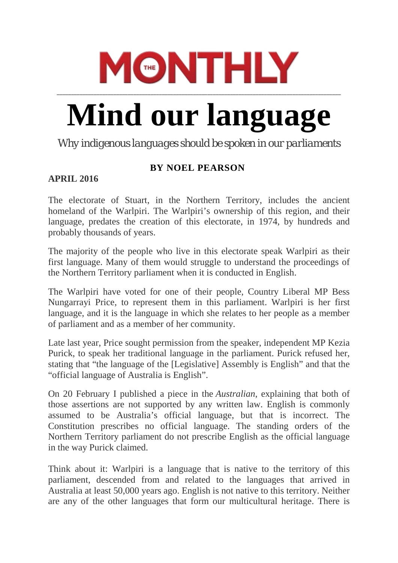## **MONTHLY**

## **Mind our language**

**\_\_\_\_\_\_\_\_\_\_\_\_\_\_\_\_\_\_\_\_\_\_\_\_\_\_\_\_\_\_\_\_\_\_\_\_\_\_\_\_\_\_\_\_\_\_\_\_\_\_\_\_\_\_\_\_\_\_\_\_\_\_\_\_\_\_\_\_\_\_\_\_\_\_\_\_\_\_\_\_\_\_\_\_\_\_\_\_\_\_\_\_\_\_\_\_\_\_\_\_**

*Why indigenous languages should be spoken in our parliaments*

## **BY NOEL [PEARSON](https://www.themonthly.com.au/author/noel-pearson)**

## **APRIL 2016**

The electorate of Stuart, in the Northern Territory, includes the ancient homeland of the Warlpiri. The Warlpiri's ownership of this region, and their language, predates the creation of this electorate, in 1974, by hundreds and probably thousands of years.

The majority of the people who live in this electorate speak Warlpiri as their first language. Many of them would struggle to understand the proceedings of the Northern Territory parliament when it is conducted in English.

The Warlpiri have voted for one of their people, Country Liberal MP Bess Nungarrayi Price, to represent them in this parliament. Warlpiri is her first language, and it is the language in which she relates to her people as a member of parliament and as a member of her community.

Late last year, Price sought permission from the speaker, independent MP Kezia Purick, to speak her traditional language in the parliament. Purick refused her, stating that "the language of the [Legislative] Assembly is English" and that the "official language of Australia is English".

On 20 February I published a piece in the *Australian*, explaining that both of those assertions are not supported by any written law. English is commonly assumed to be Australia's official language, but that is incorrect. The Constitution prescribes no official language. The standing orders of the Northern Territory parliament do not prescribe English as the official language in the way Purick claimed.

Think about it: Warlpiri is a language that is native to the territory of this parliament, descended from and related to the languages that arrived in Australia at least 50,000 years ago. English is not native to this territory. Neither are any of the other languages that form our multicultural heritage. There is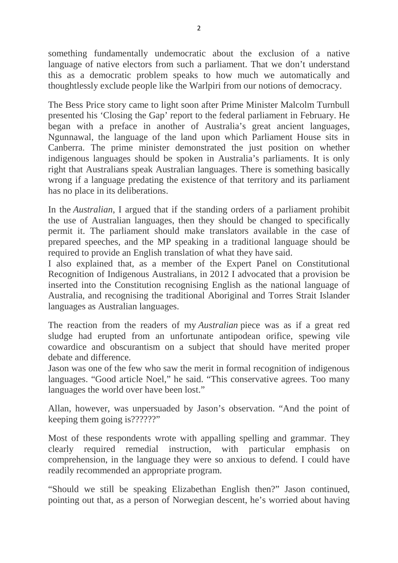something fundamentally undemocratic about the exclusion of a native language of native electors from such a parliament. That we don't understand this as a democratic problem speaks to how much we automatically and thoughtlessly exclude people like the Warlpiri from our notions of democracy.

The Bess Price story came to light soon after Prime Minister Malcolm Turnbull presented his 'Closing the Gap' report to the federal parliament in February. He began with a preface in another of Australia's great ancient languages, Ngunnawal, the language of the land upon which Parliament House sits in Canberra. The prime minister demonstrated the just position on whether indigenous languages should be spoken in Australia's parliaments. It is only right that Australians speak Australian languages. There is something basically wrong if a language predating the existence of that territory and its parliament has no place in its deliberations.

In the *Australian*, I argued that if the standing orders of a parliament prohibit the use of Australian languages, then they should be changed to specifically permit it. The parliament should make translators available in the case of prepared speeches, and the MP speaking in a traditional language should be required to provide an English translation of what they have said.

I also explained that, as a member of the Expert Panel on Constitutional Recognition of Indigenous Australians, in 2012 I advocated that a provision be inserted into the Constitution recognising English as the national language of Australia, and recognising the traditional Aboriginal and Torres Strait Islander languages as Australian languages.

The reaction from the readers of my *Australian* piece was as if a great red sludge had erupted from an unfortunate antipodean orifice, spewing vile cowardice and obscurantism on a subject that should have merited proper debate and difference.

Jason was one of the few who saw the merit in formal recognition of indigenous languages. "Good article Noel," he said. "This conservative agrees. Too many languages the world over have been lost."

Allan, however, was unpersuaded by Jason's observation. "And the point of keeping them going is??????"

Most of these respondents wrote with appalling spelling and grammar. They clearly required remedial instruction, with particular emphasis on comprehension, in the language they were so anxious to defend. I could have readily recommended an appropriate program.

"Should we still be speaking Elizabethan English then?" Jason continued, pointing out that, as a person of Norwegian descent, he's worried about having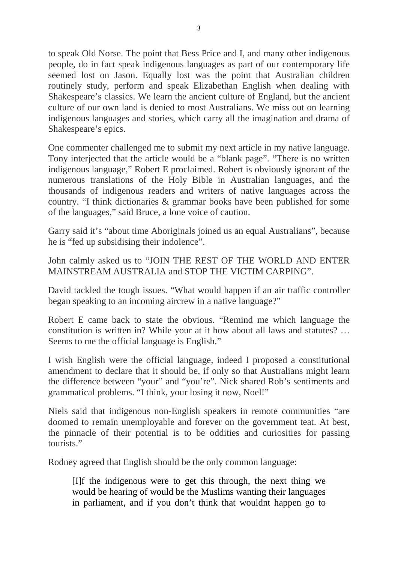to speak Old Norse. The point that Bess Price and I, and many other indigenous people, do in fact speak indigenous languages as part of our contemporary life seemed lost on Jason. Equally lost was the point that Australian children routinely study, perform and speak Elizabethan English when dealing with Shakespeare's classics. We learn the ancient culture of England, but the ancient culture of our own land is denied to most Australians. We miss out on learning indigenous languages and stories, which carry all the imagination and drama of Shakespeare's epics.

One commenter challenged me to submit my next article in my native language. Tony interjected that the article would be a "blank page". "There is no written indigenous language," Robert E proclaimed. Robert is obviously ignorant of the numerous translations of the Holy Bible in Australian languages, and the thousands of indigenous readers and writers of native languages across the country. "I think dictionaries & grammar books have been published for some of the languages," said Bruce, a lone voice of caution.

Garry said it's "about time Aboriginals joined us an equal Australians", because he is "fed up subsidising their indolence".

John calmly asked us to "JOIN THE REST OF THE WORLD AND ENTER MAINSTREAM AUSTRALIA and STOP THE VICTIM CARPING".

David tackled the tough issues. "What would happen if an air traffic controller began speaking to an incoming aircrew in a native language?"

Robert E came back to state the obvious. "Remind me which language the constitution is written in? While your at it how about all laws and statutes? … Seems to me the official language is English."

I wish English were the official language, indeed I proposed a constitutional amendment to declare that it should be, if only so that Australians might learn the difference between "your" and "you're". Nick shared Rob's sentiments and grammatical problems. "I think, your losing it now, Noel!"

Niels said that indigenous non-English speakers in remote communities "are doomed to remain unemployable and forever on the government teat. At best, the pinnacle of their potential is to be oddities and curiosities for passing tourists."

Rodney agreed that English should be the only common language:

[I]f the indigenous were to get this through, the next thing we would be hearing of would be the Muslims wanting their languages in parliament, and if you don't think that wouldnt happen go to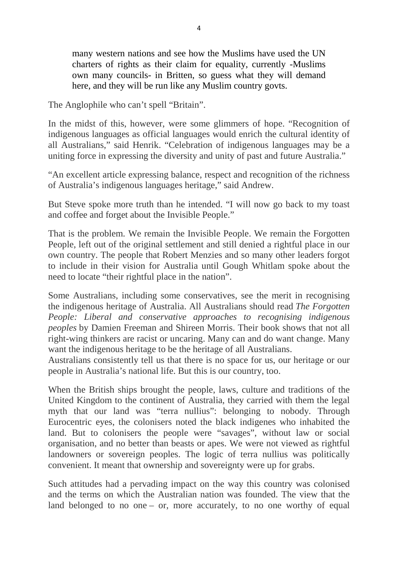many western nations and see how the Muslims have used the UN charters of rights as their claim for equality, currently -Muslims own many councils- in Britten, so guess what they will demand here, and they will be run like any Muslim country govts.

The Anglophile who can't spell "Britain".

In the midst of this, however, were some glimmers of hope. "Recognition of indigenous languages as official languages would enrich the cultural identity of all Australians," said Henrik. "Celebration of indigenous languages may be a uniting force in expressing the diversity and unity of past and future Australia."

"An excellent article expressing balance, respect and recognition of the richness of Australia's indigenous languages heritage," said Andrew.

But Steve spoke more truth than he intended. "I will now go back to my toast and coffee and forget about the Invisible People."

That is the problem. We remain the Invisible People. We remain the Forgotten People, left out of the original settlement and still denied a rightful place in our own country. The people that Robert Menzies and so many other leaders forgot to include in their vision for Australia until Gough Whitlam spoke about the need to locate "their rightful place in the nation".

Some Australians, including some conservatives, see the merit in recognising the indigenous heritage of Australia. All Australians should read *The Forgotten People: Liberal and conservative approaches to recognising indigenous peoples* by Damien Freeman and Shireen Morris. Their book shows that not all right-wing thinkers are racist or uncaring. Many can and do want change. Many want the indigenous heritage to be the heritage of all Australians.

Australians consistently tell us that there is no space for us, our heritage or our people in Australia's national life. But this is our country, too.

When the British ships brought the people, laws, culture and traditions of the United Kingdom to the continent of Australia, they carried with them the legal myth that our land was "terra nullius": belonging to nobody. Through Eurocentric eyes, the colonisers noted the black indigenes who inhabited the land. But to colonisers the people were "savages", without law or social organisation, and no better than beasts or apes. We were not viewed as rightful landowners or sovereign peoples. The logic of terra nullius was politically convenient. It meant that ownership and sovereignty were up for grabs.

Such attitudes had a pervading impact on the way this country was colonised and the terms on which the Australian nation was founded. The view that the land belonged to no one – or, more accurately, to no one worthy of equal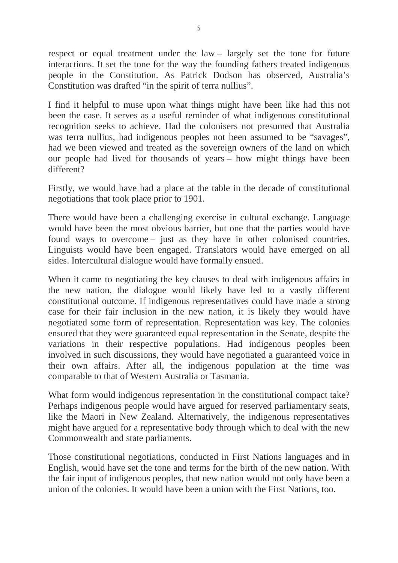respect or equal treatment under the law – largely set the tone for future interactions. It set the tone for the way the founding fathers treated indigenous people in the Constitution. As Patrick Dodson has observed, Australia's Constitution was drafted "in the spirit of terra nullius".

I find it helpful to muse upon what things might have been like had this not been the case. It serves as a useful reminder of what indigenous constitutional recognition seeks to achieve. Had the colonisers not presumed that Australia was terra nullius, had indigenous peoples not been assumed to be "savages", had we been viewed and treated as the sovereign owners of the land on which our people had lived for thousands of years – how might things have been different?

Firstly, we would have had a place at the table in the decade of constitutional negotiations that took place prior to 1901.

There would have been a challenging exercise in cultural exchange. Language would have been the most obvious barrier, but one that the parties would have found ways to overcome – just as they have in other colonised countries. Linguists would have been engaged. Translators would have emerged on all sides. Intercultural dialogue would have formally ensued.

When it came to negotiating the key clauses to deal with indigenous affairs in the new nation, the dialogue would likely have led to a vastly different constitutional outcome. If indigenous representatives could have made a strong case for their fair inclusion in the new nation, it is likely they would have negotiated some form of representation. Representation was key. The colonies ensured that they were guaranteed equal representation in the Senate, despite the variations in their respective populations. Had indigenous peoples been involved in such discussions, they would have negotiated a guaranteed voice in their own affairs. After all, the indigenous population at the time was comparable to that of Western Australia or Tasmania.

What form would indigenous representation in the constitutional compact take? Perhaps indigenous people would have argued for reserved parliamentary seats, like the Maori in New Zealand. Alternatively, the indigenous representatives might have argued for a representative body through which to deal with the new Commonwealth and state parliaments.

Those constitutional negotiations, conducted in First Nations languages and in English, would have set the tone and terms for the birth of the new nation. With the fair input of indigenous peoples, that new nation would not only have been a union of the colonies. It would have been a union with the First Nations, too.